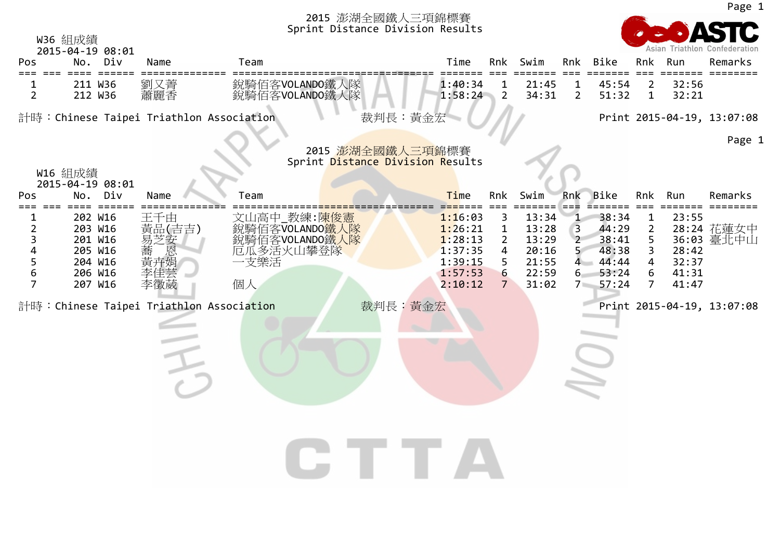

Page 1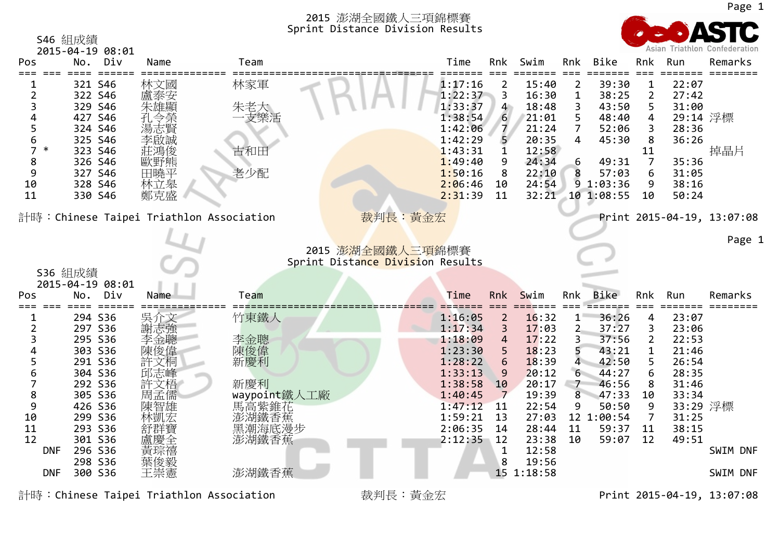

|                | 2015-04-19 08:01               |            |                                                   |                                  |                  |                |                |                   |         |                   | Asian Triathlon Confederation |
|----------------|--------------------------------|------------|---------------------------------------------------|----------------------------------|------------------|----------------|----------------|-------------------|---------|-------------------|-------------------------------|
| Pos            | Div<br>No.                     | Name       | Team                                              | Time                             | Rnk              | Swim           | Rnk            | Bike              | Rnk     | Run<br>====       | Remarks                       |
|                | 321 S46                        | 林文國        | 林家軍                                               | 1:17:16                          | 2                | 15:40          | 2              | 39:30             | 1       | 22:07             |                               |
| 2              | 322 S46                        |            |                                                   | 1:22:37                          | 3                | 16:30          | 1              | 38:25             | 2       | 27:42             |                               |
| 3              | 329 S46                        | 朱雄顯        | 朱老大                                               | 1:33:37                          | $\overline{4}$   | 18:48          | 3              | 43:50             | 5       | 31:00             |                               |
| 4              | 427 S46                        | 孔令榮        | 支樂活                                               | 1:38:54                          | $6 \overline{6}$ | 21:01          | 5              | 48:40             | 4       | 29:14 浮標          |                               |
| 5              | 324 S46                        | 湯志賢        |                                                   | 1:42:06                          |                  | 21:24          | 7              | 52:06             | 3       | 28:36             |                               |
| 6              | 325 S46                        | 李啟誠        |                                                   | 1:42:29                          |                  | 20:35          | 4              | 45:30             | 8       | 36:26             |                               |
| 7              | $\ast$<br>323 S46              | 莊鴻俊        | 古和田                                               | 1:43:31                          |                  | 12:58          |                |                   | 11      |                   | 掉晶片                           |
| 8<br>9         | 326 S46                        | 歐野熊        | 老少配                                               | 1:49:40                          | 9                | 24:34          | 6              | 49:31             | 7       | 35:36             |                               |
| 10             | 327 S46<br>328 S46             | 田曉平<br>林立皋 |                                                   | 1:50:16<br>2:06:46               | 8<br>10          | 22:10<br>24:54 |                | 57:03<br>91:03:36 | 6<br>9  | 31:05<br>38:16    |                               |
| 11             | 330 S46                        | 鄭克盛        |                                                   | 2:31:39                          | 11               | 32:21          |                | 10 1:08:55        | 10      | 50:24             |                               |
|                |                                |            |                                                   |                                  |                  |                |                |                   |         |                   |                               |
|                |                                |            | 計時:Chinese Taipei Triathlon Association           | 裁判長:黃金宏                          |                  |                |                |                   |         |                   | Print 2015-04-19, 13:07:08    |
|                |                                |            |                                                   |                                  |                  |                |                |                   |         |                   |                               |
|                |                                |            |                                                   |                                  |                  |                |                |                   |         |                   | Page 1                        |
|                |                                |            |                                                   | 2015 澎湖全國鐵人三項錦標賽                 |                  |                |                |                   |         |                   |                               |
|                |                                |            |                                                   |                                  |                  |                |                |                   |         |                   |                               |
|                |                                |            |                                                   | Sprint Distance Division Results |                  |                |                |                   |         |                   |                               |
|                | S36 組成績                        |            |                                                   |                                  |                  |                |                |                   |         |                   |                               |
| Pos            | 2015-04-19 08:01<br>Div<br>No. | Name       | Team                                              | Time                             | Rnk              | Swim           | Rnk            | <b>Bike</b>       | Rnk     | Run               | Remarks                       |
|                |                                |            |                                                   |                                  |                  |                |                |                   |         |                   |                               |
|                | 294 S36                        | 吳介文        | 竹東鐵人                                              | 1:16:05                          | $\overline{2}$   | 16:32          | $1^{\circ}$    | 36:26             | 4       | 23:07             |                               |
| $\overline{2}$ | 297 S36                        | 謝志強        |                                                   | 1:17:34                          | 3                | 17:03          | 2 <sub>1</sub> | 37:27             | 3       | 23:06             |                               |
| 3              | 295 S36                        | 李金聰        | 李金聰                                               | 1:18:09                          | 4                | 17:22          | 3.             | 37:56             | 2       | 22:53             |                               |
| Δ              | 303 S36                        | 陳俊偉        | 陳俊偉                                               | 1:23:30                          |                  | 18:23          |                | 43:21             | 1       | 21:46             |                               |
| 5              | 291 S36                        | 許文桐        | 新慶利                                               | 1:28:22                          | 6                | 18:39          | 4              | 42:50             | 5       | 26:54             |                               |
| 6              | 304 S36                        | 邱志峰        |                                                   | 1:33:13                          | 9                | 20:12          | 6              | 44:27             | 6       | 28:35             |                               |
| 7              | 292 S36                        | 許文梧        | 新慶利                                               | 1:38:58                          | 10<br>7          | 20:17          | $\overline{7}$ | 46:56             | 8       | 31:46             |                               |
| 8<br>9         | 305 S36                        | 周孟儒        |                                                   | 1:40:45<br>1:47:12               | <b>11</b>        | 19:39<br>22:54 | 8<br>9         | 47:33<br>50:50    | 10<br>9 | 33:34             |                               |
| 10             | 426 S36<br>299 S36             | 陳智雄        |                                                   | 1:59:21                          | 13               | 27:03          |                | 12 1:00:54        | 7       | 33:29 浮標<br>31:25 |                               |
| 11             | 293 S36                        | 林凱宏<br>舒群贊 |                                                   | 2:06:35                          | 14               | 28:44          | 11             | 59:37             | 11      | 38:15             |                               |
| 12             | 301 S36                        |            | waypoint鐵人工廠<br>馬高紫錐花<br>澎湖鐵香蕉<br>黑潮海底漫步<br>澎湖鐵香蕉 | 2:12:35                          | 12               | 23:38          | 10             | 59:07             | 12      | 49:51             |                               |
|                | 296 S36<br><b>DNF</b>          | 黃琮禧        |                                                   |                                  | 1                | 12:58          |                |                   |         |                   | SWIM DNF                      |
|                | 298 S36                        | 葉俊毅        |                                                   |                                  | 8                | 19:56          |                |                   |         |                   |                               |
|                | 300 S36<br><b>DNF</b>          | 王崇憲        | 澎湖鐵香蕉                                             |                                  |                  | 15 1:18:58     |                |                   |         |                   | SWIM DNF                      |

計時:Chinese Taipei Triathlon Association 裁判長:黃金宏 Print 2015-04-19, 13:07:08

S46 組成績

Page 1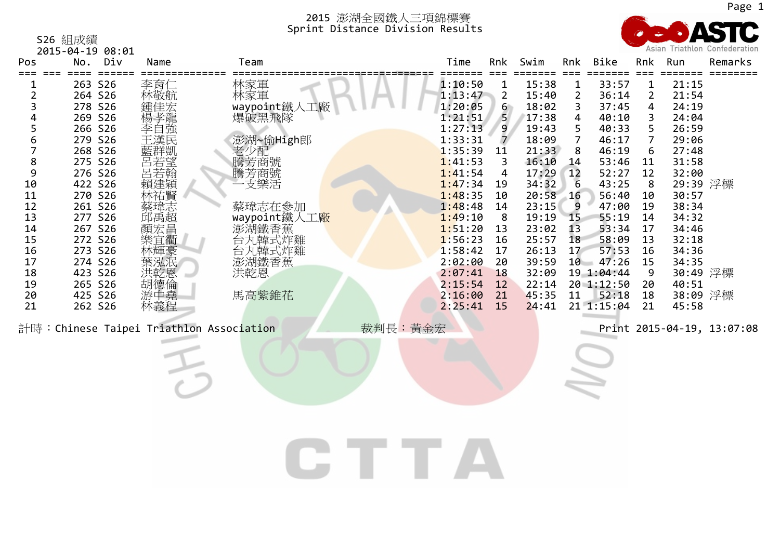

| S26 組成績          |        |       |  |
|------------------|--------|-------|--|
| 2015-04-19 08:01 |        |       |  |
|                  | No Div | ama ا |  |

| Pos                                                                                                                                                  | No.                                                                                                                                                                                                                      | Div | Name                                                                                      | Team                                                                                                                |         | Time                                                                                                                                                                                                                     | Rnk                                                                                                                                 | Swim                                                                                                                                                                             | Rnk                                                                                                                            | Bike                                                                                                                                                                                              | Rnk                                                                                                                                              | Run                                                                                                                                                                                       | Remarks<br>====            |
|------------------------------------------------------------------------------------------------------------------------------------------------------|--------------------------------------------------------------------------------------------------------------------------------------------------------------------------------------------------------------------------|-----|-------------------------------------------------------------------------------------------|---------------------------------------------------------------------------------------------------------------------|---------|--------------------------------------------------------------------------------------------------------------------------------------------------------------------------------------------------------------------------|-------------------------------------------------------------------------------------------------------------------------------------|----------------------------------------------------------------------------------------------------------------------------------------------------------------------------------|--------------------------------------------------------------------------------------------------------------------------------|---------------------------------------------------------------------------------------------------------------------------------------------------------------------------------------------------|--------------------------------------------------------------------------------------------------------------------------------------------------|-------------------------------------------------------------------------------------------------------------------------------------------------------------------------------------------|----------------------------|
| 1<br>$\overline{2}$<br>3<br>4<br>5<br>$\boldsymbol{6}$<br>$\overline{7}$<br>8<br>9<br>10<br>11<br>12<br>13<br>14<br>15<br>16<br>17<br>18<br>19<br>20 | 263 S26<br>264 S26<br>278 S26<br>269 S26<br>266 S26<br>279 S26<br>268 S26<br>275 S26<br>276 S26<br>422 S26<br>270 S26<br>261 S26<br>277 S26<br>267 S26<br>272 S26<br>273 S26<br>274 S26<br>423 S26<br>265 S26<br>425 S26 |     | 李育仁<br>林敬航<br>·鍾楊孝自<br>楊孝自<br>李<br>王漢民<br>H藍呂呂賴林蔡邱顏樂林葉进《群若若建祐瑋禹宏宜輝泓韵氏凱望翰穎賢志超昌衢豪泯図<br>洪胡德中 | 林家軍<br>林家軍<br>waypoint鐵人工廠<br>爆破黑飛隊<br>澎湖~偷High郎<br>·老少芳芳美<br>騰芳芳美<br>一支樂<br>蔡瑋志在参加<br>waypoint鐵人工廠<br>洪乾恩<br>馬高紫錐花 |         | 1:10:50<br>1:13:47<br>1:20:05<br>1:21:51<br>1:27:13<br>1:33:31<br>1:35:39<br>1:41:53<br>1:41:54<br>1:47:34<br>1:48:35<br>1:48:48<br>1:49:10<br>1:51:20<br>1:56:23<br>1:58:42<br>2:02:00<br>2:07:41<br>2:15:54<br>2:16:00 | $\mathbf{1}$<br>$\overline{2}$<br>6<br>5<br>9<br>7<br>11<br>3<br>4<br>19<br>10<br>14<br>8<br>13<br>16<br>17<br>20<br>18<br>12<br>21 | 15:38<br>15:40<br>18:02<br>17:38<br>19:43<br>18:09<br>21:33<br>16:10<br>17:29<br>34:32<br>20:58<br>23:15<br>19:19<br>23:02<br>25:57<br>26:13<br>39:59<br>32:09<br>22:14<br>45:35 | $\mathbf{1}$<br>$\overline{2}$<br>3<br>4<br>5<br>$\overline{7}$<br>8<br>14<br>12<br>6<br>16<br>9<br>15<br>13<br>18<br>17<br>11 | 33:57<br>36:14<br>37:45<br>40:10<br>40:33<br>46:17<br>46:19<br>53:46<br>52:27<br>43:25<br>56:40<br>47:00<br>55:19<br>53:34<br>58:09<br>57:53<br>$10 - 47:26$<br>19 1:04:44<br>20 1:12:50<br>52:18 | $\mathbf{1}$<br>$\overline{2}$<br>4<br>3<br>5<br>$\overline{7}$<br>6<br>11<br>12<br>8<br>10<br>19<br>14<br>17<br>13<br>16<br>15<br>9<br>20<br>18 | 21:15<br>21:54<br>24:19<br>24:04<br>26:59<br>29:06<br>27:48<br>31:58<br>32:00<br>29:39 浮標<br>30:57<br>38:34<br>34:32<br>34:46<br>32:18<br>34:36<br>34:35<br>30:49 浮標<br>40:51<br>38:09 浮標 |                            |
| 21                                                                                                                                                   | 262 S26                                                                                                                                                                                                                  |     | 林義程<br>計時: Chinese Taipei Triathlon Association                                           |                                                                                                                     | 裁判長:黃金宏 | 2:25:41                                                                                                                                                                                                                  | 15                                                                                                                                  | 24:41                                                                                                                                                                            |                                                                                                                                | 21 1:15:04                                                                                                                                                                                        | 21                                                                                                                                               | 45:58                                                                                                                                                                                     | Print 2015-04-19, 13:07:08 |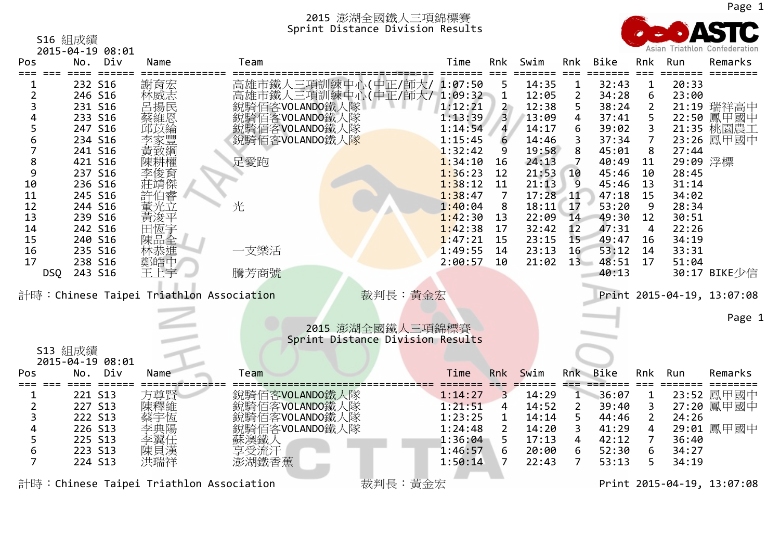

S16 組成績 2015‐04‐19 08:01 Pos===

|                | 7012-04-19 08:01 |                                         |                                                          |         |                         |            |                |              |                |          |                            |
|----------------|------------------|-----------------------------------------|----------------------------------------------------------|---------|-------------------------|------------|----------------|--------------|----------------|----------|----------------------------|
| Pos            | Div<br>No.       | Name                                    | Team                                                     | Time    | Rnk                     | Swim       | Rnk            | Bike         | Rnk            | Run      | Remarks                    |
|                |                  |                                         |                                                          |         |                         |            |                | ====         | $===$          | =====    |                            |
|                | 232 S16          | 謝育宏                                     |                                                          |         | 5                       | 14:35      | $\mathbf 1$    | 32:43        | $\mathbf 1$    | 20:33    |                            |
| $\overline{2}$ | 246 S16          | 林威志                                     | 高雄市鐵人三項訓練中心(中正/師大/ 1:07:50<br>高雄市鐵人三項訓練中心(中正/師大/ 1:09:32 |         | $\mathbf{1}$            | 12:05      | $\overline{2}$ | 34:28        | 6              | 23:00    |                            |
|                | 231 S16          | 呂揚民                                     | 銳騎佰客VOLANDO鐵人隊                                           | 1:12:21 | $\mathbf{2}$            | 12:38      | 5              | 38:24        | 2              |          | 21:19 瑞祥高中                 |
|                | 233 S16          | 蔡維恩                                     | 銳騎佰客VOLANDO鐵人隊                                           | 1:13:39 | $\overline{\mathbf{3}}$ | 13:09      | 4              | 37:41        | 5              |          | 22:50 鳳甲國中                 |
| 5              | 247 S16          | 邱苡綸                                     | 銳騎佰客VOLANDO鐵人隊                                           | 1:14:54 | $\overline{\mathbf{4}}$ | 14:17      | 6              | 39:02        | 3              |          | 21:35 桃園農工                 |
| 6              | 234 S16          |                                         | 銳騎佰客VOLANDO鐵人隊                                           | 1:15:45 | 6                       | 14:46      | 3              | 37:34        | 7              |          | 23:26 鳳甲國中                 |
|                | 241 S16          |                                         |                                                          | 1:32:42 | 9                       | 19:58      | 8              | 45:01        | 8              | 27:44    |                            |
| 8              | 421 S16          | 陳耕權                                     | 足愛跑                                                      | 1:34:10 | 16                      | 24:13      |                | 40:49        | 11             | 29:09 浮標 |                            |
| 9              | 237 S16          |                                         |                                                          | 1:36:23 | 12                      | 21:53      | 10             | 45:46        | 10             | 28:45    |                            |
| 10             | 236 S16          | 李俊育<br>莊靖傑                              |                                                          | 1:38:12 | 11                      | 21:13      | 9              | 45:46        | 13             | 31:14    |                            |
| 11             | 245 S16          | 許伯睿                                     |                                                          | 1:38:47 | $\overline{7}$          | $17:28$ 11 |                | 47:18        | 15             | 34:02    |                            |
| 12             | 244 S16          | 董光立                                     | 光                                                        | 1:40:04 | 8                       | 18:11      | 17             | 53:20        | 9              | 28:34    |                            |
| 13             | 239 S16          | 黃浚平                                     |                                                          | 1:42:30 | 13                      | 22:09      | 14             | 49:30        | 12             | 30:51    |                            |
| 14             | 242 S16          | 田恆宇                                     |                                                          | 1:42:38 | 17                      | 32:42      | 12             | 47:31        | 4              | 22:26    |                            |
| 15             | 240 S16          | 陳品全                                     |                                                          | 1:47:21 | 15                      | 23:15      | 15             | 49:47        | 16             | 34:19    |                            |
| 16             |                  |                                         | 一支樂活                                                     | 1:49:55 |                         |            | 16             | 53:12        | 14             | 33:31    |                            |
|                | 235 S16          | 林恭進                                     |                                                          |         | 14                      | 23:13      |                |              |                |          |                            |
| 17             | 238 S16          | 鄭皓中                                     |                                                          | 2:00:57 | 10                      | 21:02      |                | $13 - 48:51$ | 17             | 51:04    |                            |
| <b>DSQ</b>     | 243 S16          | 王上宇                                     | 騰芳商號                                                     |         |                         |            |                | 40:13        |                |          | 30:17 BIKE少信               |
|                |                  |                                         |                                                          |         |                         |            |                |              |                |          |                            |
|                |                  | 計時:Chinese Taipei Triathlon Association | 裁判長:黃金宏                                                  |         |                         |            |                |              |                |          | Print 2015-04-19, 13:07:08 |
|                |                  |                                         |                                                          |         |                         |            |                |              |                |          |                            |
|                |                  |                                         |                                                          |         |                         |            |                |              |                |          | Page 1                     |
|                |                  |                                         | 2015 澎湖全國鐵人三項錦標賽                                         |         |                         |            |                |              |                |          |                            |
|                |                  |                                         | Sprint Distance Division Results                         |         |                         |            |                |              |                |          |                            |
| S13 組成績        |                  |                                         |                                                          |         |                         |            |                |              |                |          |                            |
|                | 2015-04-19 08:01 |                                         |                                                          |         |                         |            |                |              |                |          |                            |
| Pos            | Div<br>No.       | Name                                    | Team                                                     | Time    | <b>Rnk</b>              | Swim       |                | Rnk Bike     | Rnk            | Run      | Remarks                    |
|                |                  |                                         |                                                          |         |                         |            | ===            |              |                |          |                            |
|                | 221 S13          | 方尊賢                                     | 銳騎佰客VOLANDO鐵人隊                                           | 1:14:27 | 3                       | 14:29      | $\mathbf{1}$   | 36:07        | $\mathbf{1}$   |          | 23:52 鳳甲國中                 |
| $\overline{2}$ | 227 S13          | 陳釋維                                     | 銳騎佰客VOLANDO鐵人隊                                           | 1:21:51 | 4                       | 14:52      | $\overline{2}$ | 39:40        | 3              |          | 27:20 鳳甲國中                 |
|                | 222 S13          | 蔡宇恆                                     | 銳騎佰客VOLANDO鐵人隊                                           | 1:23:25 | 1                       | 14:14      | 5              | 44:46        | $\overline{2}$ | 24:26    |                            |
|                | 226 S13          | 李典陽                                     | 銳騎佰客VOLANDO鐵人隊                                           | 1:24:48 | $\mathbf{2}$            | 14:20      | 3              | 41:29        | 4              |          | 29:01 鳳甲國中                 |
| 5              | 225 S13          | 李翼任                                     | 蘇澳鐵人                                                     | 1:36:04 |                         | 17:13      | 4              | 42:12        | 7              | 36:40    |                            |
| 6              | 223 S13          | 陳貝漢                                     | 享受流汗                                                     | 1:46:57 | 6                       | 20:00      | 6              | 52:30        | 6              | 34:27    |                            |
| $\overline{7}$ | 224 S13          | 洪瑞祥                                     | 澎湖鐵香蕉                                                    | 1:50:14 | 7                       | 22:43      | 7              | 53:13        | 5              | 34:19    |                            |
|                |                  |                                         |                                                          |         |                         |            |                |              |                |          |                            |
|                |                  | 計時:Chinese Taipei Triathlon Association | 裁判長:黃金宏                                                  |         |                         |            |                |              |                |          | Print 2015-04-19, 13:07:08 |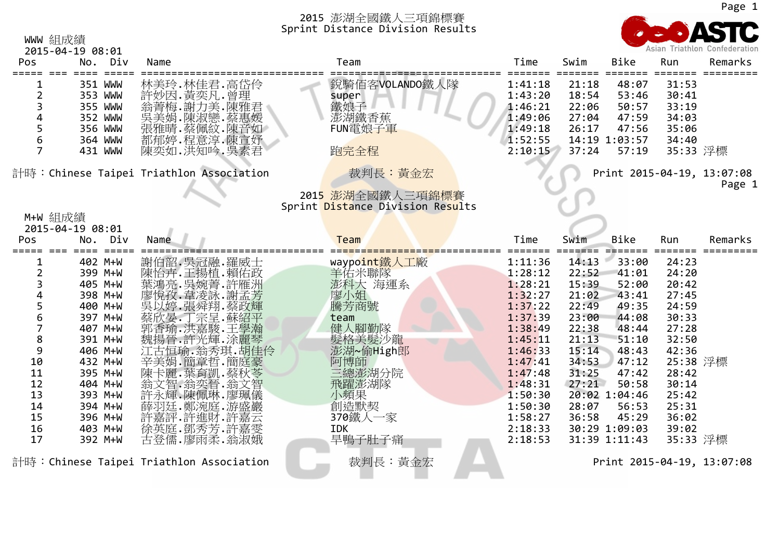WWW 組成績



|                                                                | 2015-04-19 08:01                                                          |                                                                                                          |                                                                 |                                                                           |                                                    |                                                                     |                                                                        | Asian Triathton Confederation        |
|----------------------------------------------------------------|---------------------------------------------------------------------------|----------------------------------------------------------------------------------------------------------|-----------------------------------------------------------------|---------------------------------------------------------------------------|----------------------------------------------------|---------------------------------------------------------------------|------------------------------------------------------------------------|--------------------------------------|
| Pos                                                            | No. Div                                                                   | Name                                                                                                     | Team                                                            | Time                                                                      | Swim                                               | Bike                                                                | Run                                                                    | Remarks                              |
| $\overline{2}$<br>4<br>5<br>$\boldsymbol{6}$<br>$\overline{7}$ | 351 WWW<br>353 WWW<br>355 WWW<br>352 WWW<br>356 WWW<br>364 WWW<br>431 WWW | 林美玲.林佳君.高岱伶<br>許妙因. 黃奕凡. 曾理<br>翁菁梅. 謝力美. 陳雅君<br>吳美娟.陳淑戀.蔡惠媛<br>張雅晴.蔡佩紋.陳音如<br>都郁婷.程意淳.陳宣妤<br>陳奕如.洪知吟.吳素君 | 銳騎佰客VOLANDO鐵人隊<br>super<br>鐵娘子<br>澎湖鐵香蕉<br>FUN電娘子軍<br>跑完全程      | 1:41:18<br>1:43:20<br>1:46:21<br>1:49:06<br>1:49:18<br>1:52:55<br>2:10:15 | 21:18<br>18:54<br>22:06<br>27:04<br>26:17<br>37:24 | 48:07<br>53:46<br>50:57<br>47:59<br>47:56<br>14:19 1:03:57<br>57:19 | ====<br>31:53<br>30:41<br>33:19<br>34:03<br>35:06<br>34:40<br>35:33 浮標 |                                      |
|                                                                |                                                                           | 計時: Chinese Taipei Triathlon Association                                                                 | 裁判長:黃金宏<br>2015 澎湖全國鐵人三項錦標賽<br>Sprint Distance Division Results |                                                                           |                                                    |                                                                     |                                                                        | Print 2015-04-19, 13:07:08<br>Page 1 |
| M+W 組成績                                                        | 2015-04-19 08:01                                                          |                                                                                                          |                                                                 |                                                                           |                                                    |                                                                     |                                                                        |                                      |
| Pos                                                            | No. Div                                                                   | Name                                                                                                     | Team                                                            | Time                                                                      | Swim                                               | Bike                                                                | Run                                                                    | Remarks                              |
| =====                                                          | $=$ $=$ $=$ $=$ $=$<br>$=$ $=$ $=$ $-$                                    |                                                                                                          |                                                                 |                                                                           |                                                    |                                                                     |                                                                        | $=$ = = = = = = =                    |
|                                                                | 402 M+W                                                                   | 謝伯韶.吳冠融.羅威士                                                                                              | waypoint鐵人工廠                                                    | 1:11:36                                                                   | 14:13                                              | 33:00                                                               | 24:23                                                                  |                                      |
| 2                                                              | 399 M+W                                                                   | 陳怡卉·王揚植·賴佑政                                                                                              | 羊佑米聯隊                                                           | 1:28:12                                                                   | 22:52                                              | 41:01                                                               | 24:20                                                                  |                                      |
|                                                                | 405 M+W                                                                   | 葉鴻亮.吳婉菁.許雁洲                                                                                              | 澎科大 海運系                                                         | 1:28:21                                                                   | 15:39                                              | 52:00                                                               | 20:42                                                                  |                                      |
|                                                                | 398 M+W                                                                   |                                                                                                          | 廖小姐                                                             | 1:32:27                                                                   | 21:02                                              | 43:41                                                               | 27:45                                                                  |                                      |
| 5                                                              | 400 M+W                                                                   |                                                                                                          | 騰芳商號                                                            | 1:37:22                                                                   | 22:49                                              | 49:35                                                               | 24:59                                                                  |                                      |
| 6                                                              | 397 M+W                                                                   |                                                                                                          | team                                                            | 1:37:39                                                                   | 23:00                                              | 44:08                                                               | 30:33                                                                  |                                      |
| $\overline{7}$                                                 | 407 M+W                                                                   |                                                                                                          |                                                                 | 1:38:49                                                                   | 22:38                                              | 48:44                                                               | 27:28                                                                  |                                      |
| 8                                                              | 391 M+W                                                                   |                                                                                                          | 健人腳勤隊<br>髮格美髮沙龍                                                 | 1:45:11                                                                   | 21:13                                              | 51:10                                                               | 32:50                                                                  |                                      |
| 9                                                              | 406 M+W                                                                   |                                                                                                          | 澎湖~偷High郎                                                       | 1:46:33                                                                   | 15:14                                              | 48:43                                                               | 42:36                                                                  |                                      |
| 10                                                             | 432 M+W                                                                   |                                                                                                          | 阿博師<br>三總澎湖分院                                                   | 1:47:41                                                                   | 34:53                                              | 47:12                                                               | 25:38 浮標                                                               |                                      |
| 11                                                             | 395 M+W                                                                   |                                                                                                          |                                                                 | 1:47:48                                                                   | 31:25                                              | 47:42                                                               | 28:42                                                                  |                                      |
| 12                                                             | 404 M+W                                                                   | 除翁·菲特·蒂尔·蒂尔·希望·希望·赫尔·萨尔·蒂尔·希望·赫尔克·萨克·希望·希望·希望·希望·希望·希望·希望·希望·希望                                          | 飛躍澎湖隊                                                           | 1:48:31                                                                   | 27:21                                              | 50:58                                                               | 30:14                                                                  |                                      |
| 13                                                             | 393 M+W                                                                   |                                                                                                          | 小頻果                                                             | 1:50:30                                                                   |                                                    | 20:02 1:04:46                                                       | 25:42                                                                  |                                      |
| 14                                                             | 394 M+W                                                                   |                                                                                                          | 創造默契                                                            | 1:50:30                                                                   | 28:07                                              | 56:53                                                               | 25:31                                                                  |                                      |
| 15                                                             | 396 M+W                                                                   |                                                                                                          | 370鐵人一家                                                         | 1:58:27                                                                   | 36:58                                              | 45:29                                                               | 36:02                                                                  |                                      |
| 16                                                             | 403 M+W                                                                   | 徐英庭.鄧秀芳.許嘉雯                                                                                              | <b>IDK</b>                                                      | 2:18:33                                                                   |                                                    | 30:29 1:09:03                                                       | 39:02                                                                  |                                      |
| 17                                                             | 392 M+W                                                                   | 古登儒.廖雨柔.翁淑娥                                                                                              | 旱鴨子肚子痛                                                          | 2:18:53                                                                   |                                                    | 31:39 1:11:43                                                       | 35:33 浮標                                                               |                                      |
|                                                                |                                                                           | 計時:Chinese Taipei Triathlon Association                                                                  | 裁判長:黃金宏                                                         |                                                                           |                                                    |                                                                     |                                                                        | Print 2015-04-19, 13:07:08           |

Page 1